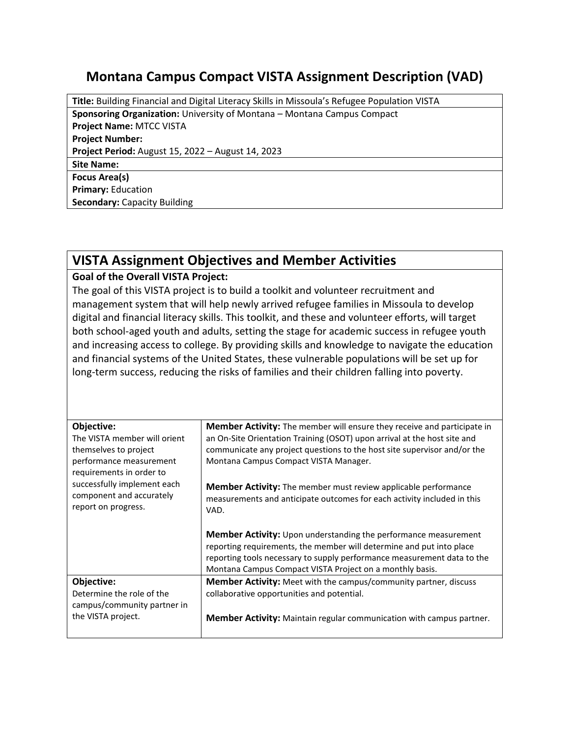## **Montana Campus Compact VISTA Assignment Description (VAD)**

**Title:** Building Financial and Digital Literacy Skills in Missoula's Refugee Population VISTA **Sponsoring Organization:** University of Montana – Montana Campus Compact **Project Name:** MTCC VISTA **Project Number: Project Period:** August 15, 2022 – August 14, 2023 **Site Name: Focus Area(s) Primary:** Education **Secondary:** Capacity Building

## **VISTA Assignment Objectives and Member Activities**

## **Goal of the Overall VISTA Project:**

The goal of this VISTA project is to build a toolkit and volunteer recruitment and management system that will help newly arrived refugee families in Missoula to develop digital and financial literacy skills. This toolkit, and these and volunteer efforts, will target both school-aged youth and adults, setting the stage for academic success in refugee youth and increasing access to college. By providing skills and knowledge to navigate the education and financial systems of the United States, these vulnerable populations will be set up for long-term success, reducing the risks of families and their children falling into poverty.

| Objective:<br>The VISTA member will orient<br>themselves to project<br>performance measurement<br>requirements in order to<br>successfully implement each<br>component and accurately<br>report on progress. | <b>Member Activity:</b> The member will ensure they receive and participate in<br>an On-Site Orientation Training (OSOT) upon arrival at the host site and<br>communicate any project questions to the host site supervisor and/or the<br>Montana Campus Compact VISTA Manager.<br><b>Member Activity:</b> The member must review applicable performance<br>measurements and anticipate outcomes for each activity included in this<br>VAD. |
|--------------------------------------------------------------------------------------------------------------------------------------------------------------------------------------------------------------|---------------------------------------------------------------------------------------------------------------------------------------------------------------------------------------------------------------------------------------------------------------------------------------------------------------------------------------------------------------------------------------------------------------------------------------------|
|                                                                                                                                                                                                              | <b>Member Activity:</b> Upon understanding the performance measurement<br>reporting requirements, the member will determine and put into place<br>reporting tools necessary to supply performance measurement data to the<br>Montana Campus Compact VISTA Project on a monthly basis.                                                                                                                                                       |
| Objective:<br>Determine the role of the<br>campus/community partner in<br>the VISTA project.                                                                                                                 | Member Activity: Meet with the campus/community partner, discuss<br>collaborative opportunities and potential.<br><b>Member Activity:</b> Maintain regular communication with campus partner.                                                                                                                                                                                                                                               |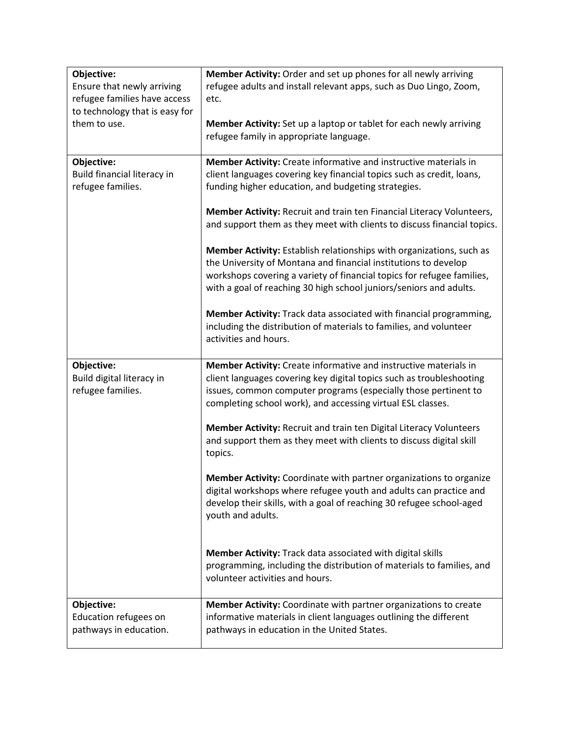| Objective:                     | Member Activity: Order and set up phones for all newly arriving         |
|--------------------------------|-------------------------------------------------------------------------|
| Ensure that newly arriving     | refugee adults and install relevant apps, such as Duo Lingo, Zoom,      |
| refugee families have access   | etc.                                                                    |
| to technology that is easy for |                                                                         |
| them to use.                   | Member Activity: Set up a laptop or tablet for each newly arriving      |
|                                | refugee family in appropriate language.                                 |
|                                |                                                                         |
| Objective:                     | Member Activity: Create informative and instructive materials in        |
| Build financial literacy in    | client languages covering key financial topics such as credit, loans,   |
| refugee families.              | funding higher education, and budgeting strategies.                     |
|                                |                                                                         |
|                                | Member Activity: Recruit and train ten Financial Literacy Volunteers,   |
|                                | and support them as they meet with clients to discuss financial topics. |
|                                |                                                                         |
|                                | Member Activity: Establish relationships with organizations, such as    |
|                                | the University of Montana and financial institutions to develop         |
|                                | workshops covering a variety of financial topics for refugee families,  |
|                                | with a goal of reaching 30 high school juniors/seniors and adults.      |
|                                | Member Activity: Track data associated with financial programming,      |
|                                | including the distribution of materials to families, and volunteer      |
|                                | activities and hours.                                                   |
|                                |                                                                         |
| Objective:                     | Member Activity: Create informative and instructive materials in        |
| Build digital literacy in      | client languages covering key digital topics such as troubleshooting    |
| refugee families.              | issues, common computer programs (especially those pertinent to         |
|                                | completing school work), and accessing virtual ESL classes.             |
|                                |                                                                         |
|                                | Member Activity: Recruit and train ten Digital Literacy Volunteers      |
|                                | and support them as they meet with clients to discuss digital skill     |
|                                | topics.                                                                 |
|                                |                                                                         |
|                                | Member Activity: Coordinate with partner organizations to organize      |
|                                | digital workshops where refugee youth and adults can practice and       |
|                                | develop their skills, with a goal of reaching 30 refugee school-aged    |
|                                | youth and adults.                                                       |
|                                |                                                                         |
|                                | Member Activity: Track data associated with digital skills              |
|                                | programming, including the distribution of materials to families, and   |
|                                | volunteer activities and hours.                                         |
|                                |                                                                         |
| Objective:                     | Member Activity: Coordinate with partner organizations to create        |
| Education refugees on          | informative materials in client languages outlining the different       |
| pathways in education.         | pathways in education in the United States.                             |
|                                |                                                                         |